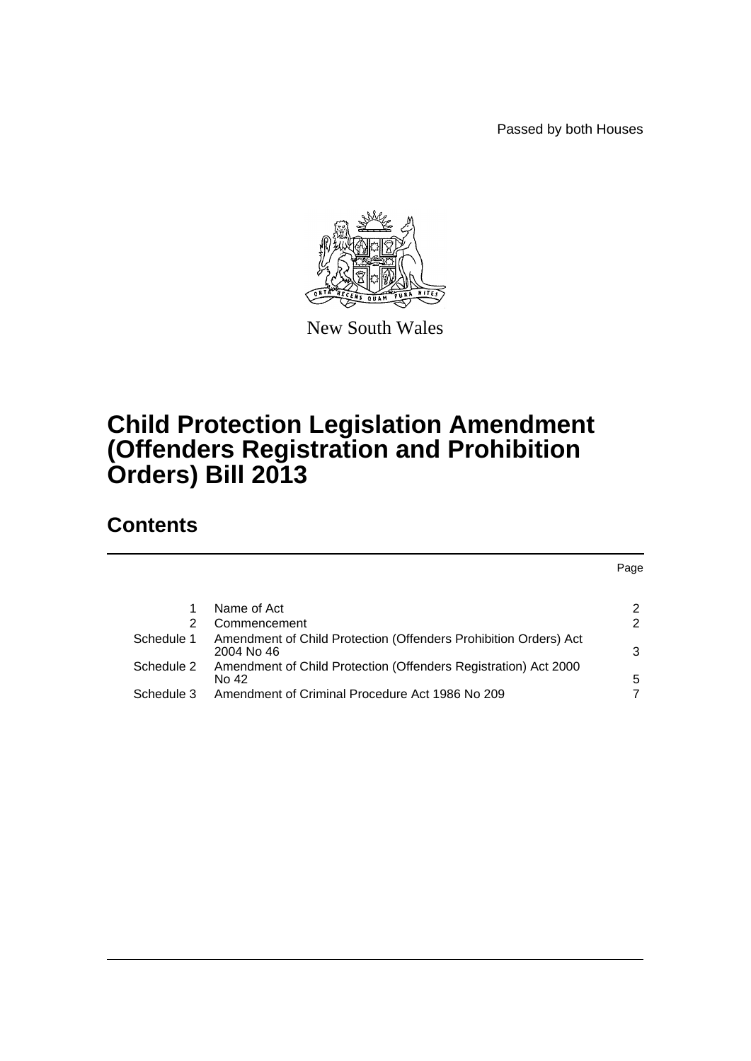Passed by both Houses



New South Wales

## **Child Protection Legislation Amendment (Offenders Registration and Prohibition Orders) Bill 2013**

## **Contents**

|            |                                                                                | Page |
|------------|--------------------------------------------------------------------------------|------|
|            |                                                                                |      |
|            | Name of Act                                                                    | 2    |
| 2          | Commencement                                                                   | 2    |
| Schedule 1 | Amendment of Child Protection (Offenders Prohibition Orders) Act<br>2004 No 46 | 3    |
| Schedule 2 | Amendment of Child Protection (Offenders Registration) Act 2000<br>No 42       | 5    |
| Schedule 3 | Amendment of Criminal Procedure Act 1986 No 209                                |      |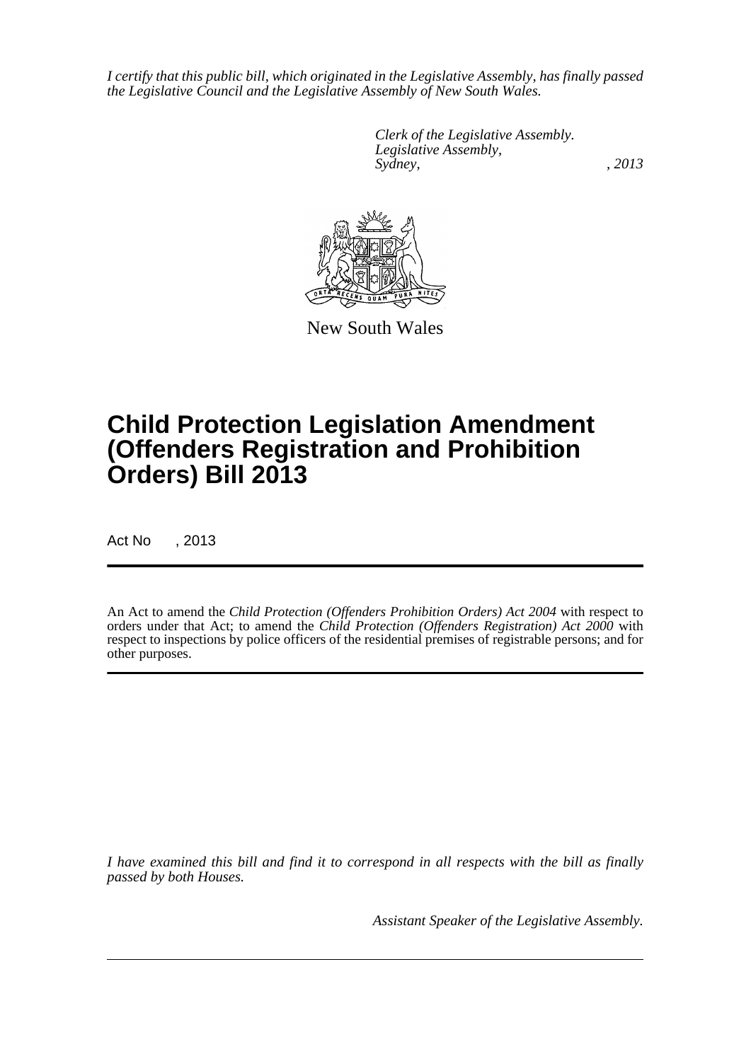*I certify that this public bill, which originated in the Legislative Assembly, has finally passed the Legislative Council and the Legislative Assembly of New South Wales.*

> *Clerk of the Legislative Assembly. Legislative Assembly, Sydney, , 2013*



New South Wales

# **Child Protection Legislation Amendment (Offenders Registration and Prohibition Orders) Bill 2013**

Act No , 2013

An Act to amend the *Child Protection (Offenders Prohibition Orders) Act 2004* with respect to orders under that Act; to amend the *Child Protection (Offenders Registration) Act 2000* with respect to inspections by police officers of the residential premises of registrable persons; and for other purposes.

*I have examined this bill and find it to correspond in all respects with the bill as finally passed by both Houses.*

*Assistant Speaker of the Legislative Assembly.*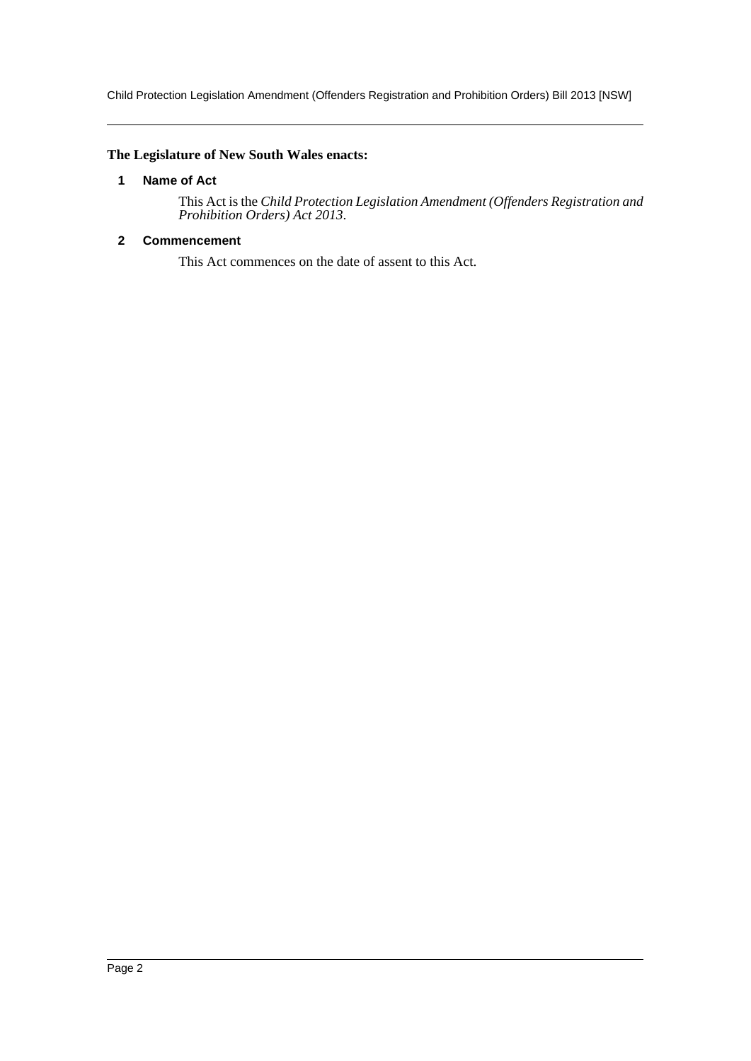Child Protection Legislation Amendment (Offenders Registration and Prohibition Orders) Bill 2013 [NSW]

### <span id="page-2-0"></span>**The Legislature of New South Wales enacts:**

### **1 Name of Act**

This Act is the *Child Protection Legislation Amendment (Offenders Registration and Prohibition Orders) Act 2013*.

### <span id="page-2-1"></span>**2 Commencement**

This Act commences on the date of assent to this Act.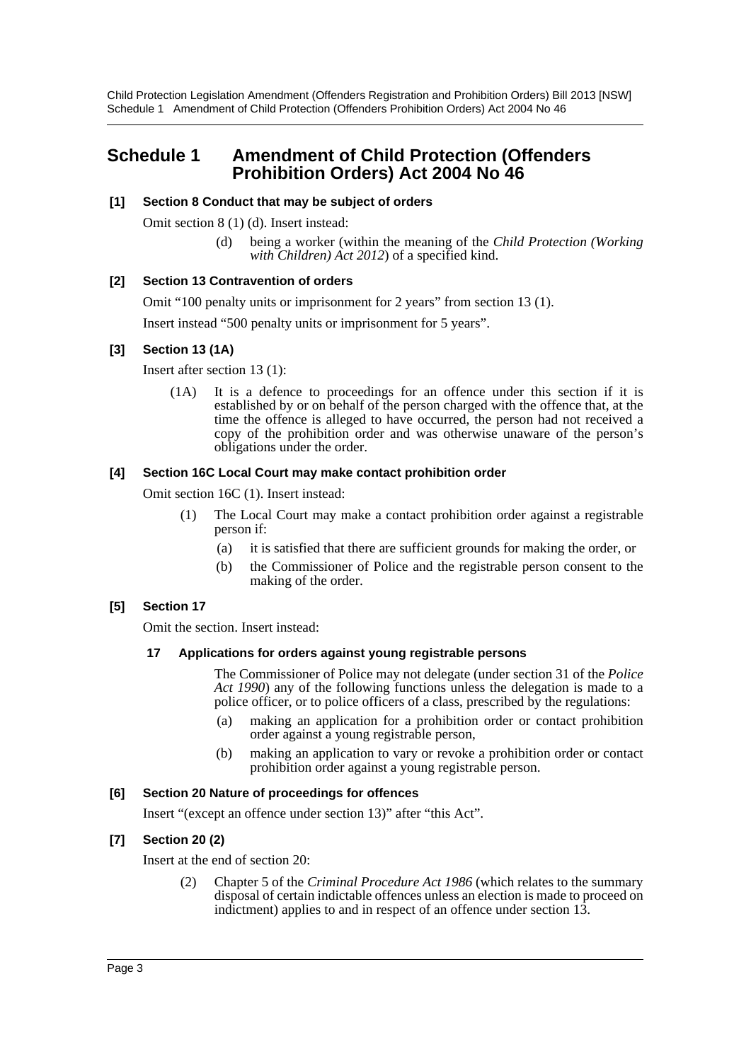Child Protection Legislation Amendment (Offenders Registration and Prohibition Orders) Bill 2013 [NSW] Schedule 1 Amendment of Child Protection (Offenders Prohibition Orders) Act 2004 No 46

### <span id="page-3-0"></span>**Schedule 1 Amendment of Child Protection (Offenders Prohibition Orders) Act 2004 No 46**

#### **[1] Section 8 Conduct that may be subject of orders**

Omit section 8 (1) (d). Insert instead:

(d) being a worker (within the meaning of the *Child Protection (Working with Children) Act 2012*) of a specified kind.

#### **[2] Section 13 Contravention of orders**

Omit "100 penalty units or imprisonment for 2 years" from section 13 (1).

Insert instead "500 penalty units or imprisonment for 5 years".

### **[3] Section 13 (1A)**

Insert after section 13 (1):

(1A) It is a defence to proceedings for an offence under this section if it is established by or on behalf of the person charged with the offence that, at the time the offence is alleged to have occurred, the person had not received a copy of the prohibition order and was otherwise unaware of the person's obligations under the order.

#### **[4] Section 16C Local Court may make contact prohibition order**

Omit section 16C (1). Insert instead:

- (1) The Local Court may make a contact prohibition order against a registrable person if:
	- (a) it is satisfied that there are sufficient grounds for making the order, or
	- (b) the Commissioner of Police and the registrable person consent to the making of the order.

### **[5] Section 17**

Omit the section. Insert instead:

### **17 Applications for orders against young registrable persons**

The Commissioner of Police may not delegate (under section 31 of the *Police Act 1990*) any of the following functions unless the delegation is made to a police officer, or to police officers of a class, prescribed by the regulations:

- (a) making an application for a prohibition order or contact prohibition order against a young registrable person,
- (b) making an application to vary or revoke a prohibition order or contact prohibition order against a young registrable person.

#### **[6] Section 20 Nature of proceedings for offences**

Insert "(except an offence under section 13)" after "this Act".

### **[7] Section 20 (2)**

Insert at the end of section 20:

(2) Chapter 5 of the *Criminal Procedure Act 1986* (which relates to the summary disposal of certain indictable offences unless an election is made to proceed on indictment) applies to and in respect of an offence under section 13.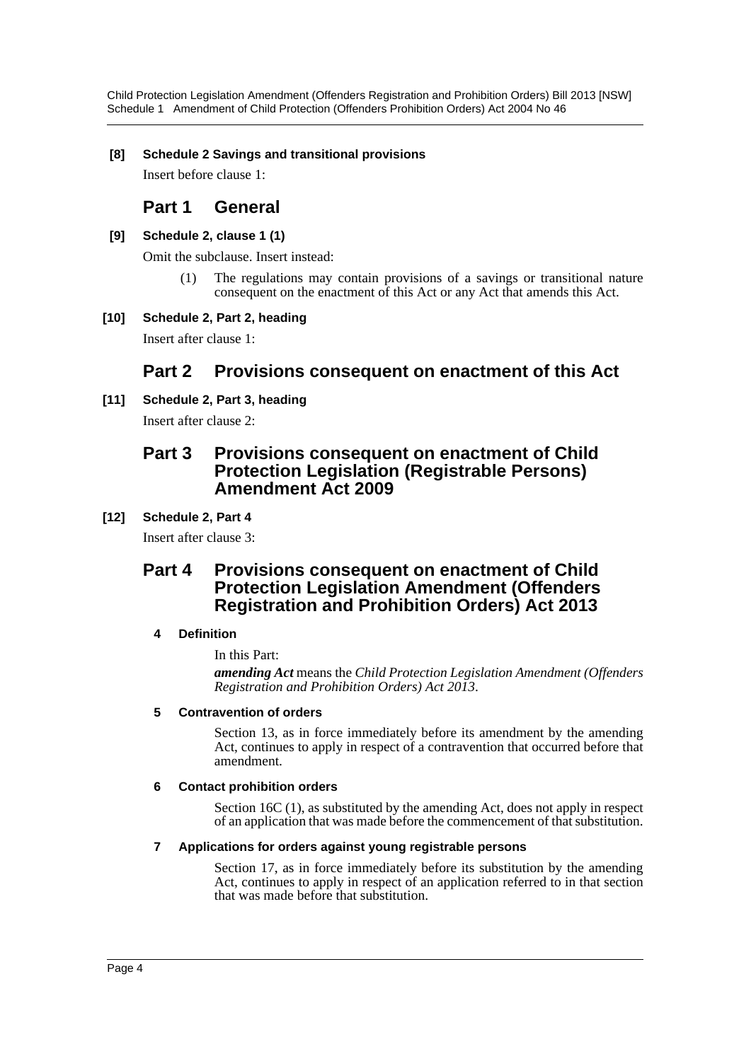Child Protection Legislation Amendment (Offenders Registration and Prohibition Orders) Bill 2013 [NSW] Schedule 1 Amendment of Child Protection (Offenders Prohibition Orders) Act 2004 No 46

### **[8] Schedule 2 Savings and transitional provisions**

Insert before clause 1:

### **Part 1 General**

### **[9] Schedule 2, clause 1 (1)**

Omit the subclause. Insert instead:

(1) The regulations may contain provisions of a savings or transitional nature consequent on the enactment of this Act or any Act that amends this Act.

### **[10] Schedule 2, Part 2, heading**

Insert after clause 1:

### **Part 2 Provisions consequent on enactment of this Act**

### **[11] Schedule 2, Part 3, heading**

Insert after clause 2:

### **Part 3 Provisions consequent on enactment of Child Protection Legislation (Registrable Persons) Amendment Act 2009**

### **[12] Schedule 2, Part 4**

Insert after clause 3:

### **Part 4 Provisions consequent on enactment of Child Protection Legislation Amendment (Offenders Registration and Prohibition Orders) Act 2013**

### **4 Definition**

In this Part:

*amending Act* means the *Child Protection Legislation Amendment (Offenders Registration and Prohibition Orders) Act 2013*.

### **5 Contravention of orders**

Section 13, as in force immediately before its amendment by the amending Act, continues to apply in respect of a contravention that occurred before that amendment.

### **6 Contact prohibition orders**

Section 16C (1), as substituted by the amending Act, does not apply in respect of an application that was made before the commencement of that substitution.

### **7 Applications for orders against young registrable persons**

Section 17, as in force immediately before its substitution by the amending Act, continues to apply in respect of an application referred to in that section that was made before that substitution.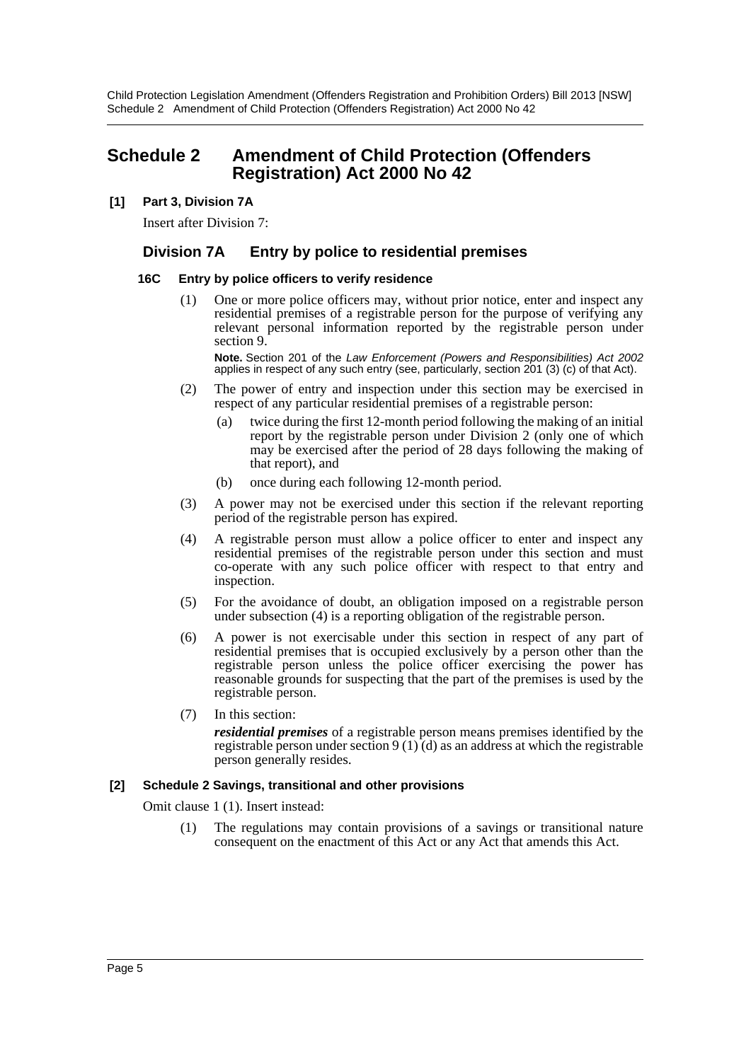Child Protection Legislation Amendment (Offenders Registration and Prohibition Orders) Bill 2013 [NSW] Schedule 2 Amendment of Child Protection (Offenders Registration) Act 2000 No 42

### <span id="page-5-0"></span>**Schedule 2 Amendment of Child Protection (Offenders Registration) Act 2000 No 42**

### **[1] Part 3, Division 7A**

Insert after Division 7:

### **Division 7A Entry by police to residential premises**

#### **16C Entry by police officers to verify residence**

One or more police officers may, without prior notice, enter and inspect any residential premises of a registrable person for the purpose of verifying any relevant personal information reported by the registrable person under section 9.

**Note.** Section 201 of the *Law Enforcement (Powers and Responsibilities) Act 2002* applies in respect of any such entry (see, particularly, section 201 (3) (c) of that Act).

- (2) The power of entry and inspection under this section may be exercised in respect of any particular residential premises of a registrable person:
	- (a) twice during the first 12-month period following the making of an initial report by the registrable person under Division 2 (only one of which may be exercised after the period of 28 days following the making of that report), and
	- (b) once during each following 12-month period.
- (3) A power may not be exercised under this section if the relevant reporting period of the registrable person has expired.
- (4) A registrable person must allow a police officer to enter and inspect any residential premises of the registrable person under this section and must co-operate with any such police officer with respect to that entry and inspection.
- (5) For the avoidance of doubt, an obligation imposed on a registrable person under subsection (4) is a reporting obligation of the registrable person.
- (6) A power is not exercisable under this section in respect of any part of residential premises that is occupied exclusively by a person other than the registrable person unless the police officer exercising the power has reasonable grounds for suspecting that the part of the premises is used by the registrable person.
- (7) In this section:

*residential premises* of a registrable person means premises identified by the registrable person under section 9 (1) (d) as an address at which the registrable person generally resides.

### **[2] Schedule 2 Savings, transitional and other provisions**

Omit clause 1 (1). Insert instead:

(1) The regulations may contain provisions of a savings or transitional nature consequent on the enactment of this Act or any Act that amends this Act.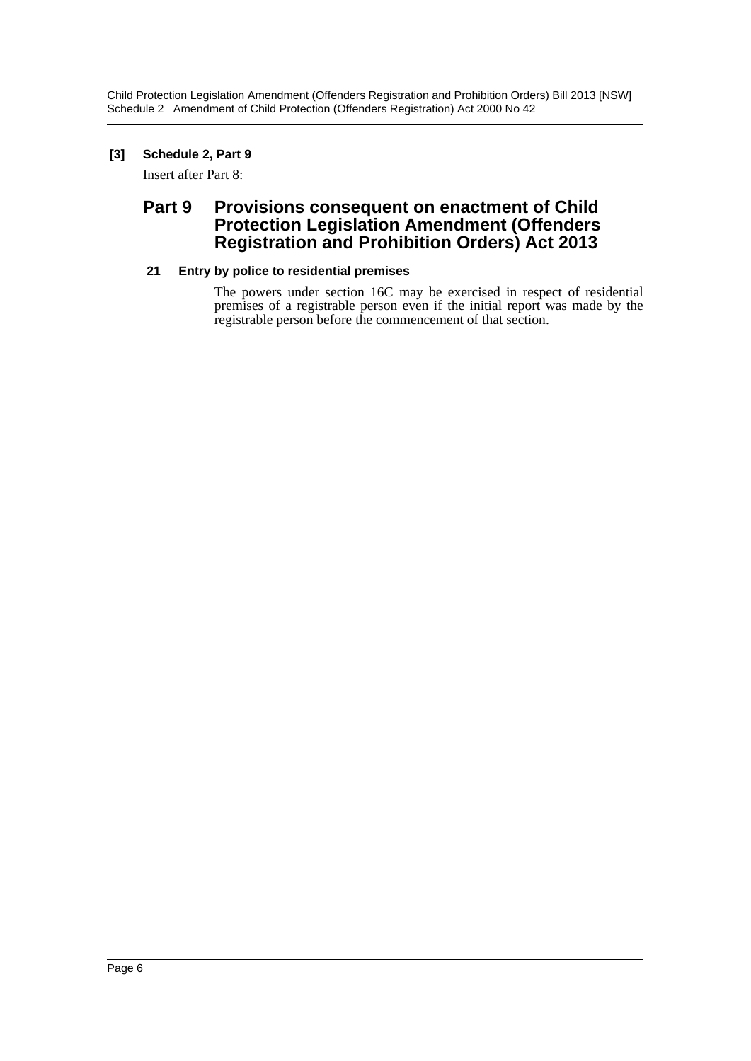Child Protection Legislation Amendment (Offenders Registration and Prohibition Orders) Bill 2013 [NSW] Schedule 2 Amendment of Child Protection (Offenders Registration) Act 2000 No 42

### **[3] Schedule 2, Part 9**

Insert after Part 8:

### **Part 9 Provisions consequent on enactment of Child Protection Legislation Amendment (Offenders Registration and Prohibition Orders) Act 2013**

### **21 Entry by police to residential premises**

The powers under section 16C may be exercised in respect of residential premises of a registrable person even if the initial report was made by the registrable person before the commencement of that section.